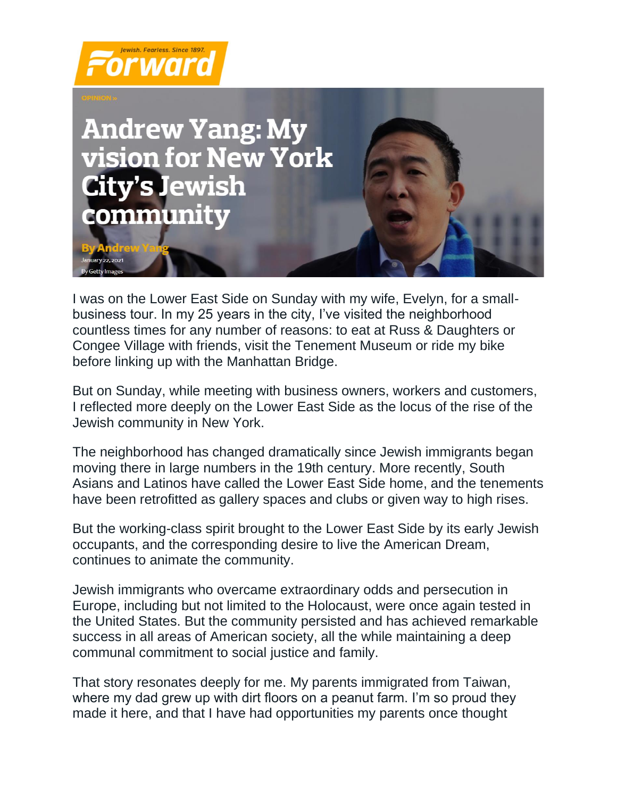



I was on the Lower East Side on Sunday with my wife, Evelyn, for a smallbusiness tour. In my 25 years in the city, I've visited the neighborhood countless times for any number of reasons: to eat at Russ & Daughters or Congee Village with friends, visit the Tenement Museum or ride my bike before linking up with the Manhattan Bridge.

But on Sunday, while meeting with business owners, workers and customers, I reflected more deeply on the Lower East Side as the locus of the rise of the Jewish community in New York.

The neighborhood has changed dramatically since Jewish immigrants began moving there in large numbers in the 19th century. More recently, South Asians and Latinos have called the Lower East Side home, and the tenements have been retrofitted as gallery spaces and clubs or given way to high rises.

But the working-class spirit brought to the Lower East Side by its early Jewish occupants, and the corresponding desire to live the American Dream, continues to animate the community.

Jewish immigrants who overcame extraordinary odds and persecution in Europe, including but not limited to the Holocaust, were once again tested in the United States. But the community persisted and has achieved remarkable success in all areas of American society, all the while maintaining a deep communal commitment to social justice and family.

That story resonates deeply for me. My parents immigrated from Taiwan, where my dad grew up with dirt floors on a peanut farm. I'm so proud they made it here, and that I have had opportunities my parents once thought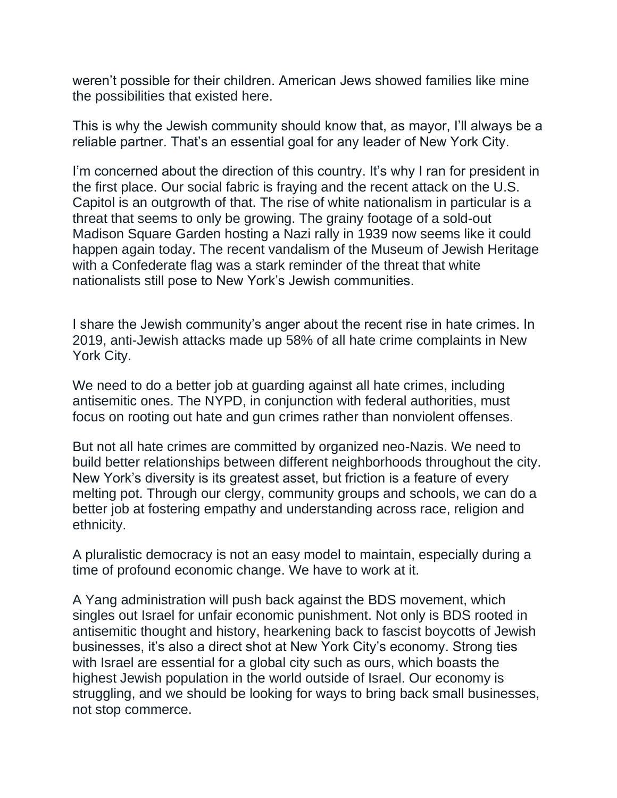weren't possible for their children. American Jews showed families like mine the possibilities that existed here.

This is why the Jewish community should know that, as mayor, I'll always be a reliable partner. That's an essential goal for any leader of New York City.

I'm concerned about the direction of this country. It's why I ran for president in the first place. Our social fabric is fraying and the recent attack on the U.S. Capitol is an outgrowth of that. The rise of white nationalism in particular is a threat that seems to only be growing. The grainy footage of a sold-out Madison Square Garden hosting a Nazi rally in 1939 now seems like it could happen again today. The recent vandalism of the Museum of Jewish Heritage with a Confederate flag was a stark reminder of the threat that white nationalists still pose to New York's Jewish communities.

I share the Jewish community's anger about the recent rise in hate crimes. In 2019, anti-Jewish attacks made up 58% of all hate crime complaints in New York City.

We need to do a better job at guarding against all hate crimes, including antisemitic ones. The NYPD, in conjunction with federal authorities, must focus on rooting out hate and gun crimes rather than nonviolent offenses.

But not all hate crimes are committed by organized neo-Nazis. We need to build better relationships between different neighborhoods throughout the city. New York's diversity is its greatest asset, but friction is a feature of every melting pot. Through our clergy, community groups and schools, we can do a better job at fostering empathy and understanding across race, religion and ethnicity.

A pluralistic democracy is not an easy model to maintain, especially during a time of profound economic change. We have to work at it.

A Yang administration will push back against the BDS movement, which singles out Israel for unfair economic punishment. Not only is BDS rooted in antisemitic thought and history, hearkening back to fascist boycotts of Jewish businesses, it's also a direct shot at New York City's economy. Strong ties with Israel are essential for a global city such as ours, which boasts the highest Jewish population in the world outside of Israel. Our economy is struggling, and we should be looking for ways to bring back small businesses, not stop commerce.